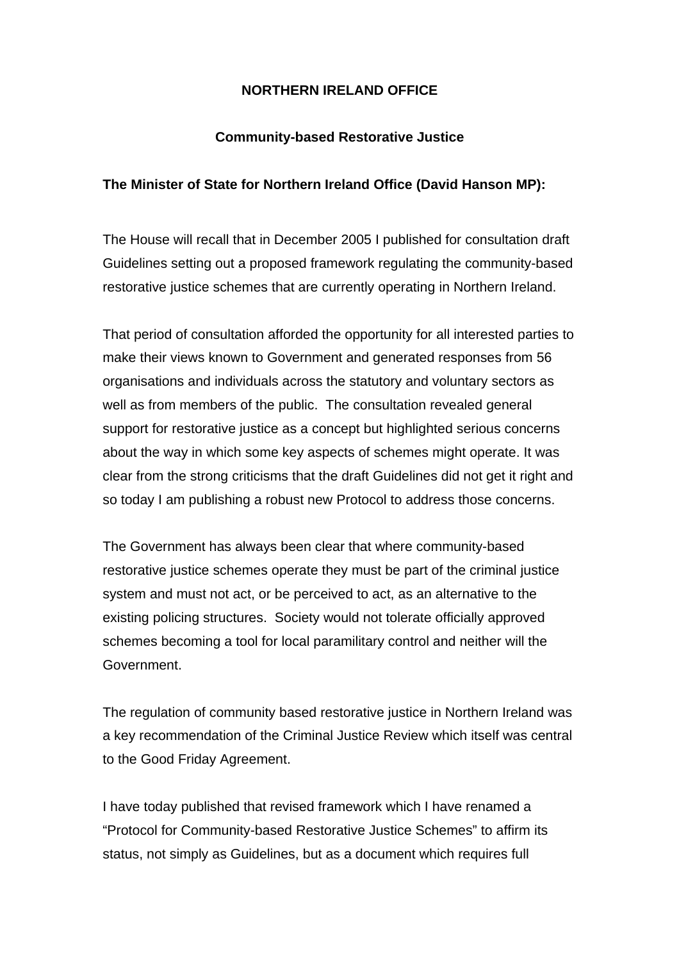## **NORTHERN IRELAND OFFICE**

## **Community-based Restorative Justice**

## **The Minister of State for Northern Ireland Office (David Hanson MP):**

The House will recall that in December 2005 I published for consultation draft Guidelines setting out a proposed framework regulating the community-based restorative justice schemes that are currently operating in Northern Ireland.

That period of consultation afforded the opportunity for all interested parties to make their views known to Government and generated responses from 56 organisations and individuals across the statutory and voluntary sectors as well as from members of the public. The consultation revealed general support for restorative justice as a concept but highlighted serious concerns about the way in which some key aspects of schemes might operate. It was clear from the strong criticisms that the draft Guidelines did not get it right and so today I am publishing a robust new Protocol to address those concerns.

The Government has always been clear that where community-based restorative justice schemes operate they must be part of the criminal justice system and must not act, or be perceived to act, as an alternative to the existing policing structures. Society would not tolerate officially approved schemes becoming a tool for local paramilitary control and neither will the Government.

The regulation of community based restorative justice in Northern Ireland was a key recommendation of the Criminal Justice Review which itself was central to the Good Friday Agreement.

I have today published that revised framework which I have renamed a "Protocol for Community-based Restorative Justice Schemes" to affirm its status, not simply as Guidelines, but as a document which requires full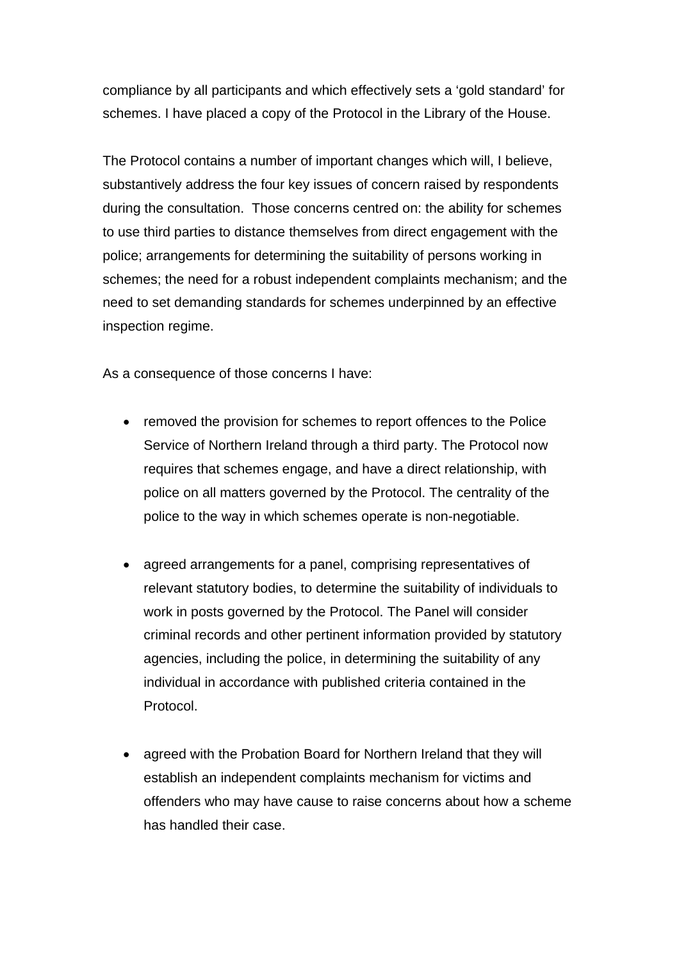compliance by all participants and which effectively sets a 'gold standard' for schemes. I have placed a copy of the Protocol in the Library of the House.

The Protocol contains a number of important changes which will, I believe, substantively address the four key issues of concern raised by respondents during the consultation. Those concerns centred on: the ability for schemes to use third parties to distance themselves from direct engagement with the police; arrangements for determining the suitability of persons working in schemes; the need for a robust independent complaints mechanism; and the need to set demanding standards for schemes underpinned by an effective inspection regime.

As a consequence of those concerns I have:

- removed the provision for schemes to report offences to the Police Service of Northern Ireland through a third party. The Protocol now requires that schemes engage, and have a direct relationship, with police on all matters governed by the Protocol. The centrality of the police to the way in which schemes operate is non-negotiable.
- agreed arrangements for a panel, comprising representatives of relevant statutory bodies, to determine the suitability of individuals to work in posts governed by the Protocol. The Panel will consider criminal records and other pertinent information provided by statutory agencies, including the police, in determining the suitability of any individual in accordance with published criteria contained in the Protocol.
- agreed with the Probation Board for Northern Ireland that they will establish an independent complaints mechanism for victims and offenders who may have cause to raise concerns about how a scheme has handled their case.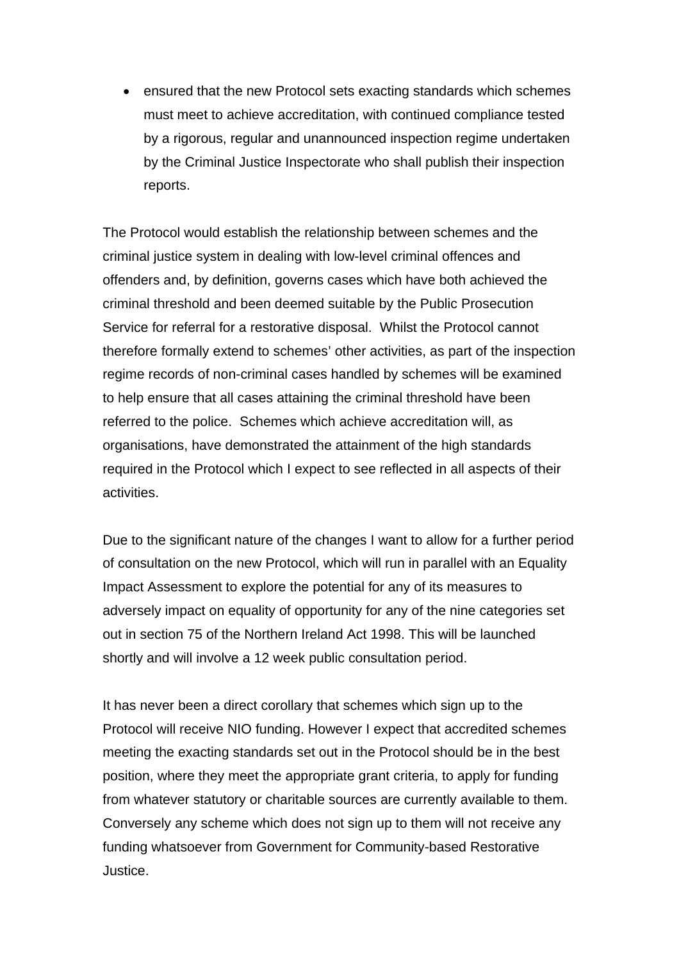• ensured that the new Protocol sets exacting standards which schemes must meet to achieve accreditation, with continued compliance tested by a rigorous, regular and unannounced inspection regime undertaken by the Criminal Justice Inspectorate who shall publish their inspection reports.

The Protocol would establish the relationship between schemes and the criminal justice system in dealing with low-level criminal offences and offenders and, by definition, governs cases which have both achieved the criminal threshold and been deemed suitable by the Public Prosecution Service for referral for a restorative disposal. Whilst the Protocol cannot therefore formally extend to schemes' other activities, as part of the inspection regime records of non-criminal cases handled by schemes will be examined to help ensure that all cases attaining the criminal threshold have been referred to the police. Schemes which achieve accreditation will, as organisations, have demonstrated the attainment of the high standards required in the Protocol which I expect to see reflected in all aspects of their activities.

Due to the significant nature of the changes I want to allow for a further period of consultation on the new Protocol, which will run in parallel with an Equality Impact Assessment to explore the potential for any of its measures to adversely impact on equality of opportunity for any of the nine categories set out in section 75 of the Northern Ireland Act 1998. This will be launched shortly and will involve a 12 week public consultation period.

It has never been a direct corollary that schemes which sign up to the Protocol will receive NIO funding. However I expect that accredited schemes meeting the exacting standards set out in the Protocol should be in the best position, where they meet the appropriate grant criteria, to apply for funding from whatever statutory or charitable sources are currently available to them. Conversely any scheme which does not sign up to them will not receive any funding whatsoever from Government for Community-based Restorative Justice.